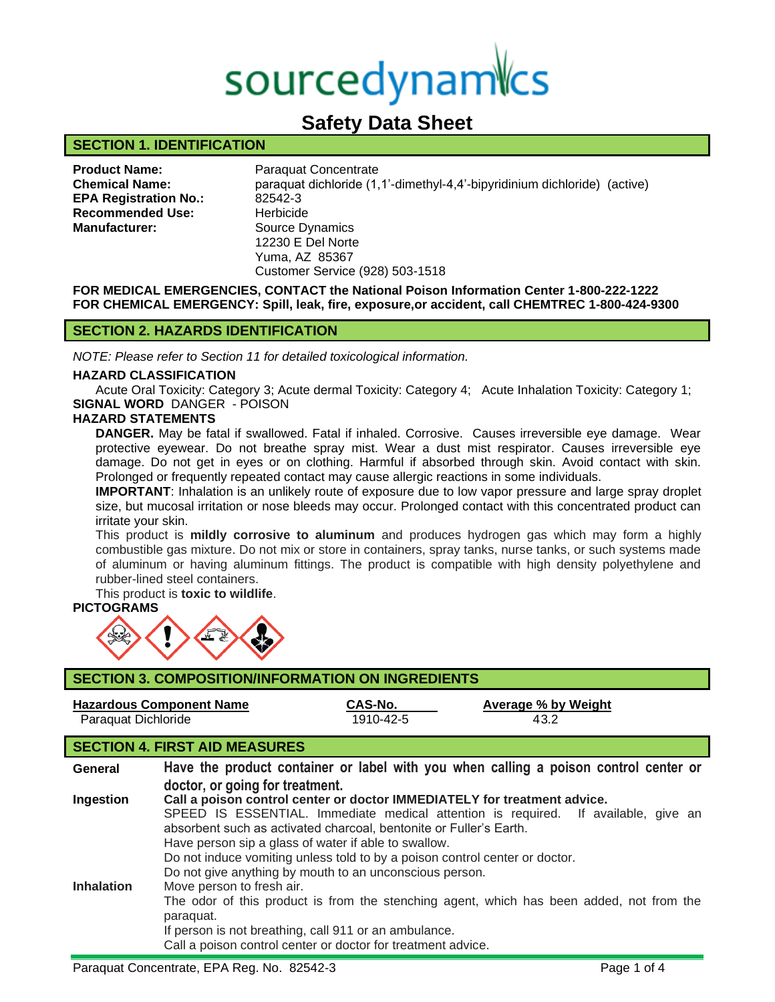# sourcedynamics

# **Safety Data Sheet**

# **SECTION 1. IDENTIFICATION**

| <b>Product Name:</b>         |
|------------------------------|
| <b>Chemical Name:</b>        |
| <b>EPA Registration No.:</b> |
| <b>Recommended Use:</b>      |
| <b>Manufacturer:</b>         |
|                              |

**Paraquat Concentrate Chemical Name:** paraquat dichloride (1,1'-dimethyl-4,4'-bipyridinium dichloride) (active) **EPA Registration No.:** 82542-3 **Herbicide** Source Dynamics 12230 E Del Norte Yuma, AZ 85367 Customer Service (928) 503-1518

**FOR MEDICAL EMERGENCIES, CONTACT the National Poison Information Center 1-800-222-1222 FOR CHEMICAL EMERGENCY: Spill, leak, fire, exposure,or accident, call CHEMTREC 1-800-424-9300**

# **SECTION 2. HAZARDS IDENTIFICATION**

*NOTE: Please refer to Section 11 for detailed toxicological information.*

#### **HAZARD CLASSIFICATION**

Acute Oral Toxicity: Category 3; Acute dermal Toxicity: Category 4; Acute Inhalation Toxicity: Category 1; **SIGNAL WORD** DANGER - POISON

# **HAZARD STATEMENTS**

**DANGER.** May be fatal if swallowed. Fatal if inhaled. Corrosive. Causes irreversible eye damage. Wear protective eyewear. Do not breathe spray mist. Wear a dust mist respirator. Causes irreversible eye damage. Do not get in eyes or on clothing. Harmful if absorbed through skin. Avoid contact with skin. Prolonged or frequently repeated contact may cause allergic reactions in some individuals.

**IMPORTANT**: Inhalation is an unlikely route of exposure due to low vapor pressure and large spray droplet size, but mucosal irritation or nose bleeds may occur. Prolonged contact with this concentrated product can irritate your skin.

This product is **mildly corrosive to aluminum** and produces hydrogen gas which may form a highly combustible gas mixture. Do not mix or store in containers, spray tanks, nurse tanks, or such systems made of aluminum or having aluminum fittings. The product is compatible with high density polyethylene and rubber-lined steel containers.

This product is **toxic to wildlife**.

# **PICTOGRAMS**



| <b>SECTION 3. COMPOSITION/INFORMATION ON INGREDIENTS</b> |                                                                                                                         |                                                                    |                                                                                                                                                                |  |  |
|----------------------------------------------------------|-------------------------------------------------------------------------------------------------------------------------|--------------------------------------------------------------------|----------------------------------------------------------------------------------------------------------------------------------------------------------------|--|--|
| <b>Hazardous Component Name</b><br>Paraquat Dichloride   |                                                                                                                         | CAS-No.<br>1910-42-5                                               | Average % by Weight<br>43.2                                                                                                                                    |  |  |
|                                                          | <b>SECTION 4. FIRST AID MEASURES</b>                                                                                    |                                                                    |                                                                                                                                                                |  |  |
| General                                                  | Have the product container or label with you when calling a poison control center or<br>doctor, or going for treatment. |                                                                    |                                                                                                                                                                |  |  |
| Ingestion                                                |                                                                                                                         | absorbent such as activated charcoal, bentonite or Fuller's Earth. | Call a poison control center or doctor IMMEDIATELY for treatment advice.<br>SPEED IS ESSENTIAL. Immediate medical attention is required. If available, give an |  |  |

Have person sip a glass of water if able to swallow.

Do not induce vomiting unless told to by a poison control center or doctor.

- Do not give anything by mouth to an unconscious person.
- **Inhalation** Move person to fresh air.

The odor of this product is from the stenching agent, which has been added, not from the paraquat.

If person is not breathing, call 911 or an ambulance.

Call a poison control center or doctor for treatment advice.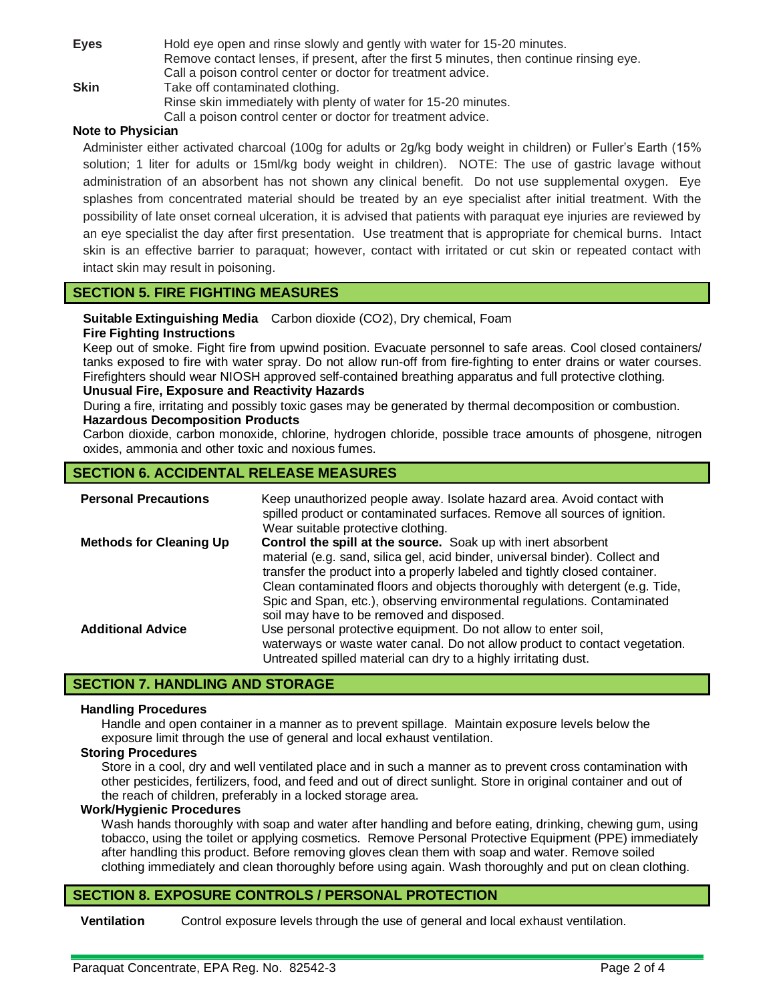| <b>Eyes</b> | Hold eye open and rinse slowly and gently with water for 15-20 minutes.                  |  |  |
|-------------|------------------------------------------------------------------------------------------|--|--|
|             | Remove contact lenses, if present, after the first 5 minutes, then continue rinsing eye. |  |  |
|             | Call a poison control center or doctor for treatment advice.                             |  |  |
| <b>Skin</b> | Take off contaminated clothing.                                                          |  |  |
|             | Rinse skin immediately with plenty of water for 15-20 minutes.                           |  |  |
|             | Call a poison control center or doctor for treatment advice.                             |  |  |

# **Note to Physician**

Administer either activated charcoal (100g for adults or 2g/kg body weight in children) or Fuller's Earth (15% solution; 1 liter for adults or 15ml/kg body weight in children). NOTE: The use of gastric lavage without administration of an absorbent has not shown any clinical benefit. Do not use supplemental oxygen. Eye splashes from concentrated material should be treated by an eye specialist after initial treatment. With the possibility of late onset corneal ulceration, it is advised that patients with paraquat eye injuries are reviewed by an eye specialist the day after first presentation. Use treatment that is appropriate for chemical burns. Intact skin is an effective barrier to paraquat; however, contact with irritated or cut skin or repeated contact with intact skin may result in poisoning.

# **SECTION 5. FIRE FIGHTING MEASURES**

**Suitable Extinguishing Media** Carbon dioxide (CO2), Dry chemical, Foam

# **Fire Fighting Instructions**

Keep out of smoke. Fight fire from upwind position. Evacuate personnel to safe areas. Cool closed containers/ tanks exposed to fire with water spray. Do not allow run-off from fire-fighting to enter drains or water courses. Firefighters should wear NIOSH approved self-contained breathing apparatus and full protective clothing.

#### **Unusual Fire, Exposure and Reactivity Hazards**

During a fire, irritating and possibly toxic gases may be generated by thermal decomposition or combustion. **Hazardous Decomposition Products**

Carbon dioxide, carbon monoxide, chlorine, hydrogen chloride, possible trace amounts of phosgene, nitrogen oxides, ammonia and other toxic and noxious fumes.

# **SECTION 6. ACCIDENTAL RELEASE MEASURES**

| <b>Personal Precautions</b>    | Keep unauthorized people away. Isolate hazard area. Avoid contact with<br>spilled product or contaminated surfaces. Remove all sources of ignition.<br>Wear suitable protective clothing.                                                                                                                                                                                                                                                 |
|--------------------------------|-------------------------------------------------------------------------------------------------------------------------------------------------------------------------------------------------------------------------------------------------------------------------------------------------------------------------------------------------------------------------------------------------------------------------------------------|
| <b>Methods for Cleaning Up</b> | <b>Control the spill at the source.</b> Soak up with inert absorbent<br>material (e.g. sand, silica gel, acid binder, universal binder). Collect and<br>transfer the product into a properly labeled and tightly closed container.<br>Clean contaminated floors and objects thoroughly with detergent (e.g. Tide,<br>Spic and Span, etc.), observing environmental regulations. Contaminated<br>soil may have to be removed and disposed. |
| <b>Additional Advice</b>       | Use personal protective equipment. Do not allow to enter soil,<br>waterways or waste water canal. Do not allow product to contact vegetation.<br>Untreated spilled material can dry to a highly irritating dust.                                                                                                                                                                                                                          |

# **SECTION 7. HANDLING AND STORAGE**

#### **Handling Procedures**

Handle and open container in a manner as to prevent spillage. Maintain exposure levels below the exposure limit through the use of general and local exhaust ventilation.

#### **Storing Procedures**

Store in a cool, dry and well ventilated place and in such a manner as to prevent cross contamination with other pesticides, fertilizers, food, and feed and out of direct sunlight. Store in original container and out of the reach of children, preferably in a locked storage area.

#### **Work/Hygienic Procedures**

Wash hands thoroughly with soap and water after handling and before eating, drinking, chewing gum, using tobacco, using the toilet or applying cosmetics. Remove Personal Protective Equipment (PPE) immediately after handling this product. Before removing gloves clean them with soap and water. Remove soiled clothing immediately and clean thoroughly before using again. Wash thoroughly and put on clean clothing.

# **SECTION 8. EXPOSURE CONTROLS / PERSONAL PROTECTION**

**Ventilation** Control exposure levels through the use of general and local exhaust ventilation.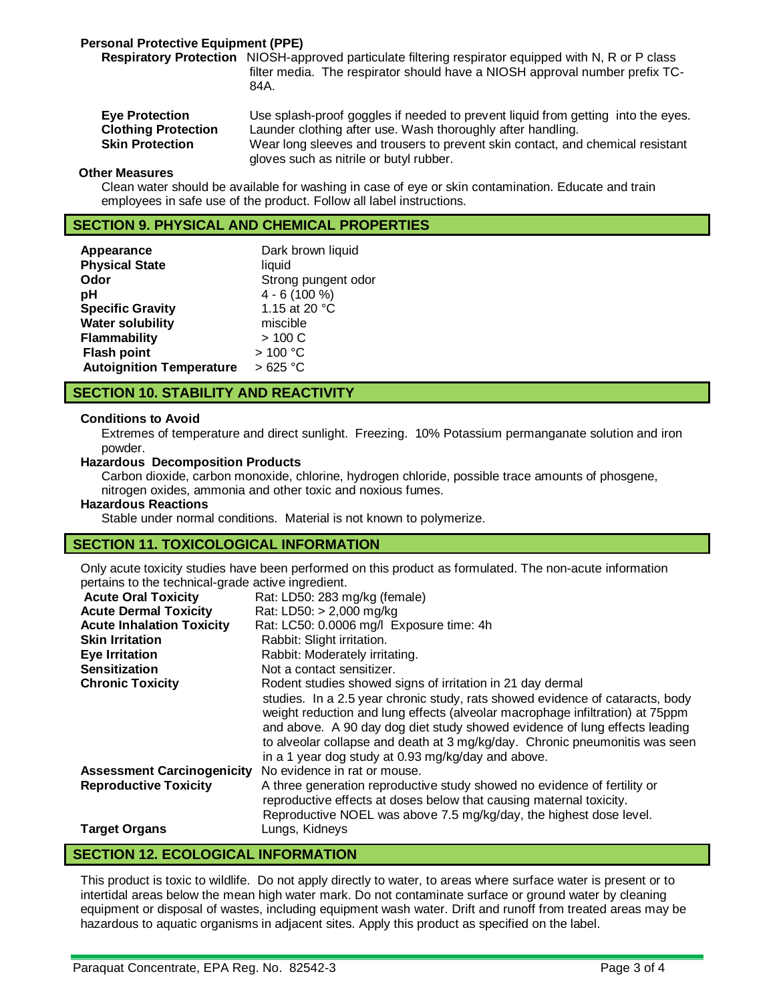# **Personal Protective Equipment (PPE)**

**Respiratory Protection** NIOSH-approved particulate filtering respirator equipped with N, R or P class filter media. The respirator should have a NIOSH approval number prefix TC-84A.

**Eye Protection** Use splash-proof goggles if needed to prevent liquid from getting into the eyes. **Clothing Protection** Launder clothing after use. Wash thoroughly after handling. **Skin Protection** Wear long sleeves and trousers to prevent skin contact, and chemical resistant gloves such as nitrile or butyl rubber.

#### **Other Measures**

Clean water should be available for washing in case of eye or skin contamination. Educate and train employees in safe use of the product. Follow all label instructions.

# **SECTION 9. PHYSICAL AND CHEMICAL PROPERTIES**

| liquid              |
|---------------------|
| Strong pungent odor |
| $4 - 6(100\%)$      |
| 1.15 at 20 °C       |
| miscible            |
| > 100 C             |
| >100 °C             |
| >625 °C             |
|                     |

# **SECTION 10. STABILITY AND REACTIVITY**

#### **Conditions to Avoid**

Extremes of temperature and direct sunlight. Freezing. 10% Potassium permanganate solution and iron powder.

#### **Hazardous Decomposition Products**

Carbon dioxide, carbon monoxide, chlorine, hydrogen chloride, possible trace amounts of phosgene, nitrogen oxides, ammonia and other toxic and noxious fumes.

#### **Hazardous Reactions**

Stable under normal conditions. Material is not known to polymerize.

#### **SECTION 11. TOXICOLOGICAL INFORMATION**

Only acute toxicity studies have been performed on this product as formulated. The non-acute information pertains to the technical-grade active ingredient.

| <b>Acute Oral Toxicity</b>        | Rat: LD50: 283 mg/kg (female)                                                                                                                                                                                                                                                                                                                                                     |
|-----------------------------------|-----------------------------------------------------------------------------------------------------------------------------------------------------------------------------------------------------------------------------------------------------------------------------------------------------------------------------------------------------------------------------------|
| <b>Acute Dermal Toxicity</b>      | Rat: LD50: > 2,000 mg/kg                                                                                                                                                                                                                                                                                                                                                          |
| <b>Acute Inhalation Toxicity</b>  | Rat: LC50: 0.0006 mg/l Exposure time: 4h                                                                                                                                                                                                                                                                                                                                          |
| <b>Skin Irritation</b>            | Rabbit: Slight irritation.                                                                                                                                                                                                                                                                                                                                                        |
| <b>Eye Irritation</b>             | Rabbit: Moderately irritating.                                                                                                                                                                                                                                                                                                                                                    |
| <b>Sensitization</b>              | Not a contact sensitizer.                                                                                                                                                                                                                                                                                                                                                         |
| <b>Chronic Toxicity</b>           | Rodent studies showed signs of irritation in 21 day dermal                                                                                                                                                                                                                                                                                                                        |
|                                   | studies. In a 2.5 year chronic study, rats showed evidence of cataracts, body<br>weight reduction and lung effects (alveolar macrophage infiltration) at 75ppm<br>and above. A 90 day dog diet study showed evidence of lung effects leading<br>to alveolar collapse and death at 3 mg/kg/day. Chronic pneumonitis was seen<br>in a 1 year dog study at 0.93 mg/kg/day and above. |
| <b>Assessment Carcinogenicity</b> | No evidence in rat or mouse.                                                                                                                                                                                                                                                                                                                                                      |
| <b>Reproductive Toxicity</b>      | A three generation reproductive study showed no evidence of fertility or<br>reproductive effects at doses below that causing maternal toxicity.<br>Reproductive NOEL was above 7.5 mg/kg/day, the highest dose level.                                                                                                                                                             |
| <b>Target Organs</b>              | Lungs, Kidneys                                                                                                                                                                                                                                                                                                                                                                    |

# **SECTION 12. ECOLOGICAL INFORMATION**

This product is toxic to wildlife.Do not apply directly to water, to areas where surface water is present or to intertidal areas below the mean high water mark. Do not contaminate surface or ground water by cleaning equipment or disposal of wastes, including equipment wash water. Drift and runoff from treated areas may be hazardous to aquatic organisms in adjacent sites. Apply this product as specified on the label.